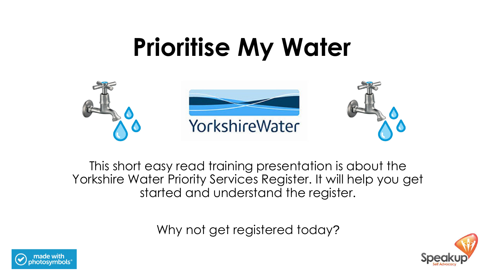# **Prioritise My Water**



This short easy read training presentation is about the Yorkshire Water Priority Services Register. It will help you get started and understand the register.

Why not get registered today?



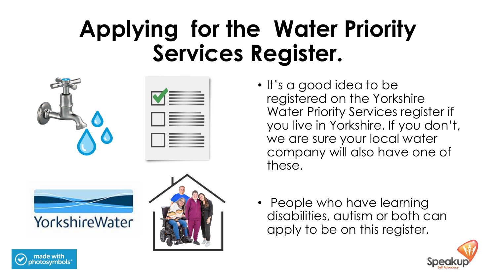# **Applying for the Water Priority Services Register.**







- It's a good idea to be registered on the Yorkshire Water Priority Services register if you live in Yorkshire. If you don't, we are sure your local water company will also have one of these.
- People who have learning disabilities, autism or both can apply to be on this register.



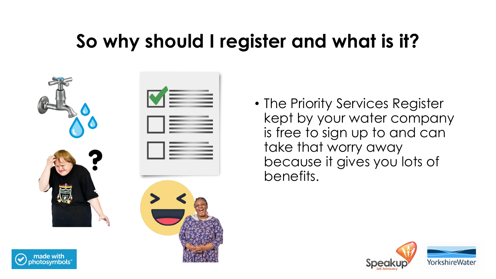#### **So why should I register and what is it?**



• The Priority Services Register kept by your water company is free to sign up to and can take that worry away because it gives you lots of benefits.

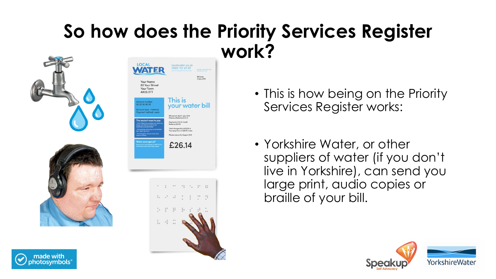#### **So how does the Priority Services Register work?**





- This is how being on the Priority Services Register works:
- Yorkshire Water, or other suppliers of water (if you don't live in Yorkshire), can send you large print, audio copies or braille of your bill.



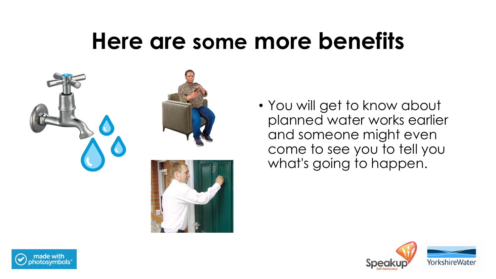





• You will get to know about planned water works earlier and someone might even come to see you to tell you what's going to happen.



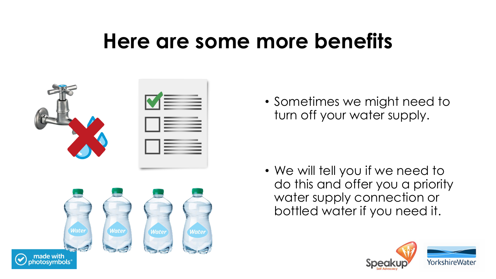

• Sometimes we might need to turn off your water supply.

• We will tell you if we need to do this and offer you a priority water supply connection or bottled water if you need it.

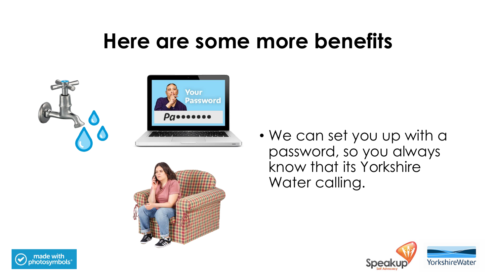



• We can set you up with a password, so you always know that its Yorkshire Water calling.



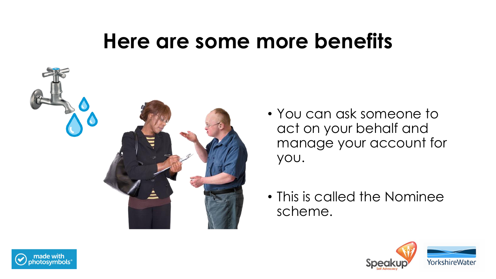

- You can ask someone to act on your behalf and manage your account for you.
- This is called the Nominee scheme.



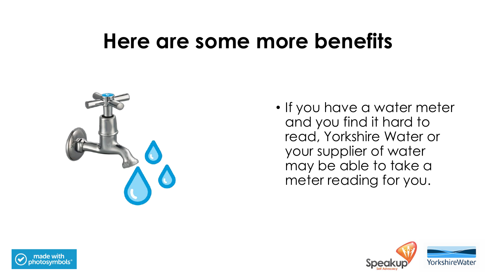

• If you have a water meter and you find it hard to read, Yorkshire Water or your supplier of water may be able to take a meter reading for you.